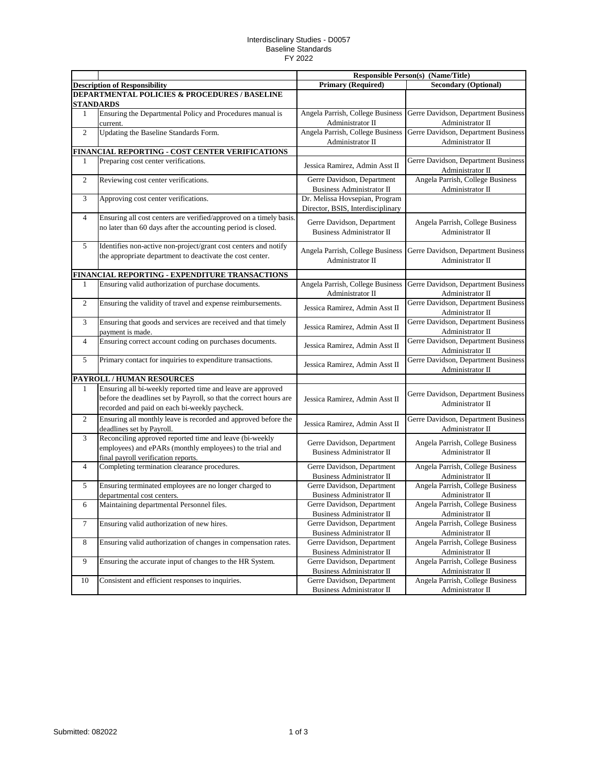## Interdisclinary Studies - D0057 Baseline Standards FY 2022

|                                               |                                                                                                                                                                                    | <b>Responsible Person(s) (Name/Title)</b>                      |                                                         |  |  |  |
|-----------------------------------------------|------------------------------------------------------------------------------------------------------------------------------------------------------------------------------------|----------------------------------------------------------------|---------------------------------------------------------|--|--|--|
|                                               | <b>Description of Responsibility</b>                                                                                                                                               | <b>Primary (Required)</b>                                      | <b>Secondary (Optional)</b>                             |  |  |  |
| DEPARTMENTAL POLICIES & PROCEDURES / BASELINE |                                                                                                                                                                                    |                                                                |                                                         |  |  |  |
|                                               | <b>STANDARDS</b>                                                                                                                                                                   |                                                                |                                                         |  |  |  |
| 1                                             | Ensuring the Departmental Policy and Procedures manual is                                                                                                                          | Angela Parrish, College Business                               | Gerre Davidson, Department Business                     |  |  |  |
|                                               | current.                                                                                                                                                                           | Administrator II                                               | Administrator II                                        |  |  |  |
| $\overline{2}$                                | Updating the Baseline Standards Form.                                                                                                                                              | Angela Parrish, College Business                               | Gerre Davidson, Department Business                     |  |  |  |
|                                               |                                                                                                                                                                                    | Administrator II                                               | Administrator II                                        |  |  |  |
|                                               | <b>FINANCIAL REPORTING - COST CENTER VERIFICATIONS</b>                                                                                                                             |                                                                |                                                         |  |  |  |
| 1                                             | Preparing cost center verifications.                                                                                                                                               | Jessica Ramirez, Admin Asst II                                 | Gerre Davidson, Department Business<br>Administrator II |  |  |  |
| $\mathbf{2}$                                  | Reviewing cost center verifications.                                                                                                                                               | Gerre Davidson, Department                                     | Angela Parrish, College Business                        |  |  |  |
|                                               |                                                                                                                                                                                    | <b>Business Administrator II</b>                               | Administrator II                                        |  |  |  |
| 3                                             | Approving cost center verifications.                                                                                                                                               | Dr. Melissa Hovsepian, Program                                 |                                                         |  |  |  |
|                                               |                                                                                                                                                                                    | Director, BSIS, Interdisciplinary                              |                                                         |  |  |  |
| 4                                             | Ensuring all cost centers are verified/approved on a timely basis.<br>no later than 60 days after the accounting period is closed.                                                 | Gerre Davidson, Department<br><b>Business Administrator II</b> | Angela Parrish, College Business<br>Administrator II    |  |  |  |
| 5                                             | Identifies non-active non-project/grant cost centers and notify<br>the appropriate department to deactivate the cost center.                                                       | Angela Parrish, College Business<br>Administrator II           | Gerre Davidson, Department Business<br>Administrator II |  |  |  |
|                                               | FINANCIAL REPORTING - EXPENDITURE TRANSACTIONS                                                                                                                                     |                                                                |                                                         |  |  |  |
| 1                                             | Ensuring valid authorization of purchase documents.                                                                                                                                | Angela Parrish, College Business                               | Gerre Davidson, Department Business                     |  |  |  |
|                                               |                                                                                                                                                                                    | Administrator II                                               | Administrator II                                        |  |  |  |
| $\mathbf{2}$                                  | Ensuring the validity of travel and expense reimbursements.                                                                                                                        | Jessica Ramirez, Admin Asst II                                 | Gerre Davidson, Department Business<br>Administrator II |  |  |  |
| 3                                             | Ensuring that goods and services are received and that timely                                                                                                                      |                                                                | Gerre Davidson, Department Business                     |  |  |  |
|                                               | payment is made.                                                                                                                                                                   | Jessica Ramirez, Admin Asst II                                 | Administrator II                                        |  |  |  |
| 4                                             | Ensuring correct account coding on purchases documents.                                                                                                                            | Jessica Ramirez, Admin Asst II                                 | Gerre Davidson, Department Business<br>Administrator II |  |  |  |
| 5                                             | Primary contact for inquiries to expenditure transactions.                                                                                                                         | Jessica Ramirez, Admin Asst II                                 | Gerre Davidson, Department Business<br>Administrator II |  |  |  |
|                                               | PAYROLL / HUMAN RESOURCES                                                                                                                                                          |                                                                |                                                         |  |  |  |
| 1                                             | Ensuring all bi-weekly reported time and leave are approved<br>before the deadlines set by Payroll, so that the correct hours are<br>recorded and paid on each bi-weekly paycheck. | Jessica Ramirez, Admin Asst II                                 | Gerre Davidson, Department Business<br>Administrator II |  |  |  |
| $\mathfrak{2}$                                | Ensuring all monthly leave is recorded and approved before the<br>deadlines set by Payroll.                                                                                        | Jessica Ramirez, Admin Asst II                                 | Gerre Davidson, Department Business<br>Administrator II |  |  |  |
| 3                                             | Reconciling approved reported time and leave (bi-weekly<br>employees) and ePARs (monthly employees) to the trial and<br>final payroll verification reports.                        | Gerre Davidson, Department<br><b>Business Administrator II</b> | Angela Parrish, College Business<br>Administrator II    |  |  |  |
| 4                                             | Completing termination clearance procedures.                                                                                                                                       | Gerre Davidson, Department<br><b>Business Administrator II</b> | Angela Parrish, College Business<br>Administrator II    |  |  |  |
| 5                                             | Ensuring terminated employees are no longer charged to                                                                                                                             | Gerre Davidson, Department                                     | Angela Parrish, College Business                        |  |  |  |
|                                               | departmental cost centers.                                                                                                                                                         | <b>Business Administrator II</b>                               | Administrator II                                        |  |  |  |
| 6                                             | Maintaining departmental Personnel files.                                                                                                                                          | Gerre Davidson, Department<br><b>Business Administrator II</b> | Angela Parrish, College Business<br>Administrator II    |  |  |  |
| 7                                             | Ensuring valid authorization of new hires.                                                                                                                                         | Gerre Davidson, Department                                     | Angela Parrish, College Business                        |  |  |  |
|                                               |                                                                                                                                                                                    | Business Administrator II                                      | Administrator II                                        |  |  |  |
| 8                                             | Ensuring valid authorization of changes in compensation rates.                                                                                                                     | Gerre Davidson, Department                                     | Angela Parrish, College Business                        |  |  |  |
|                                               |                                                                                                                                                                                    | Business Administrator II                                      | Administrator II                                        |  |  |  |
| 9                                             | Ensuring the accurate input of changes to the HR System.                                                                                                                           | Gerre Davidson, Department                                     | Angela Parrish, College Business                        |  |  |  |
|                                               |                                                                                                                                                                                    | Business Administrator II                                      | Administrator II                                        |  |  |  |
| 10                                            | Consistent and efficient responses to inquiries.                                                                                                                                   | Gerre Davidson, Department                                     | Angela Parrish, College Business                        |  |  |  |
|                                               |                                                                                                                                                                                    | Business Administrator II                                      | Administrator II                                        |  |  |  |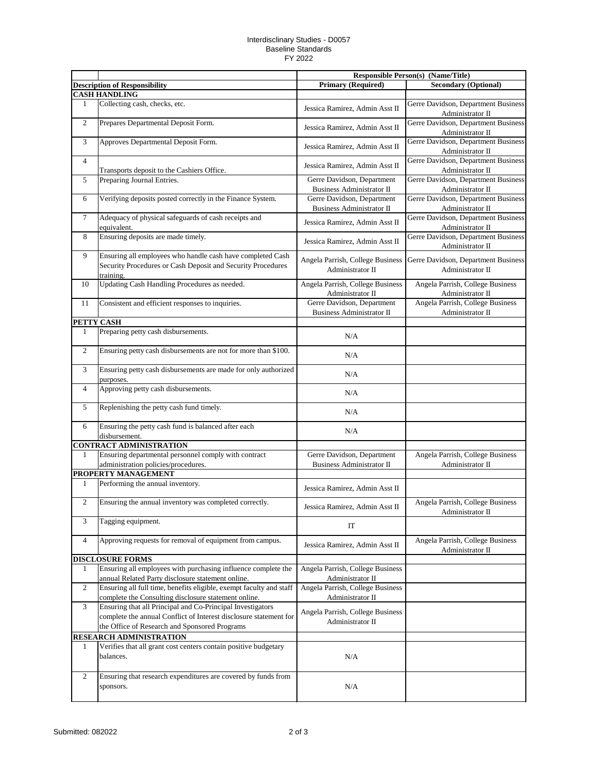## Interdisclinary Studies - D0057 Baseline Standards FY 2022

|                  |                                                                                                                                                                                  | <b>Responsible Person(s) (Name/Title)</b>                      |                                                         |
|------------------|----------------------------------------------------------------------------------------------------------------------------------------------------------------------------------|----------------------------------------------------------------|---------------------------------------------------------|
|                  | <b>Description of Responsibility</b>                                                                                                                                             | <b>Primary (Required)</b>                                      | <b>Secondary (Optional)</b>                             |
|                  | <b>CASH HANDLING</b>                                                                                                                                                             |                                                                |                                                         |
| 1                | Collecting cash, checks, etc.                                                                                                                                                    | Jessica Ramirez, Admin Asst II                                 | Gerre Davidson, Department Business<br>Administrator II |
| $\overline{2}$   | Prepares Departmental Deposit Form.                                                                                                                                              | Jessica Ramirez, Admin Asst II                                 | Gerre Davidson, Department Business<br>Administrator II |
| 3                | Approves Departmental Deposit Form.                                                                                                                                              | Jessica Ramirez, Admin Asst II                                 | Gerre Davidson, Department Business<br>Administrator II |
| $\overline{4}$   | Transports deposit to the Cashiers Office.                                                                                                                                       | Jessica Ramirez, Admin Asst II                                 | Gerre Davidson, Department Business<br>Administrator II |
| 5                | Preparing Journal Entries.                                                                                                                                                       | Gerre Davidson, Department<br><b>Business Administrator II</b> | Gerre Davidson, Department Business<br>Administrator II |
| 6                | Verifying deposits posted correctly in the Finance System.                                                                                                                       | Gerre Davidson, Department<br><b>Business Administrator II</b> | Gerre Davidson, Department Business<br>Administrator II |
| $\tau$           | Adequacy of physical safeguards of cash receipts and<br>equivalent.                                                                                                              | Jessica Ramirez, Admin Asst II                                 | Gerre Davidson, Department Business<br>Administrator II |
| 8                | Ensuring deposits are made timely.                                                                                                                                               | Jessica Ramirez, Admin Asst II                                 | Gerre Davidson, Department Business<br>Administrator II |
| 9                | Ensuring all employees who handle cash have completed Cash<br>Security Procedures or Cash Deposit and Security Procedures<br>training.                                           | Angela Parrish, College Business<br>Administrator II           | Gerre Davidson, Department Business<br>Administrator II |
| 10               | Updating Cash Handling Procedures as needed.                                                                                                                                     | Angela Parrish, College Business<br>Administrator II           | Angela Parrish, College Business<br>Administrator II    |
| 11               | Consistent and efficient responses to inquiries.                                                                                                                                 | Gerre Davidson, Department<br><b>Business Administrator II</b> | Angela Parrish, College Business<br>Administrator II    |
|                  | PETTY CASH                                                                                                                                                                       |                                                                |                                                         |
| 1                | Preparing petty cash disbursements.                                                                                                                                              | N/A                                                            |                                                         |
| $\boldsymbol{2}$ | Ensuring petty cash disbursements are not for more than \$100.                                                                                                                   | N/A                                                            |                                                         |
| 3                | Ensuring petty cash disbursements are made for only authorized<br>purposes.                                                                                                      | N/A                                                            |                                                         |
| $\overline{4}$   | Approving petty cash disbursements.                                                                                                                                              | N/A                                                            |                                                         |
| 5                | Replenishing the petty cash fund timely.                                                                                                                                         | N/A                                                            |                                                         |
| 6                | Ensuring the petty cash fund is balanced after each<br>disbursement.                                                                                                             | N/A                                                            |                                                         |
|                  | <b>CONTRACT ADMINISTRATION</b>                                                                                                                                                   |                                                                |                                                         |
| 1                | Ensuring departmental personnel comply with contract<br>administration policies/procedures.                                                                                      | Gerre Davidson, Department<br><b>Business Administrator II</b> | Angela Parrish, College Business<br>Administrator II    |
|                  | PROPERTY MANAGEMENT                                                                                                                                                              |                                                                |                                                         |
| 1                | Performing the annual inventory.                                                                                                                                                 | Jessica Ramirez, Admin Asst II                                 |                                                         |
| $\overline{2}$   | Ensuring the annual inventory was completed correctly.                                                                                                                           | Jessica Ramirez, Admin Asst II                                 | Angela Parrish, College Business<br>Administrator II    |
| 3                | Tagging equipment.                                                                                                                                                               | IT                                                             |                                                         |
| $\overline{4}$   | Approving requests for removal of equipment from campus.                                                                                                                         | Jessica Ramirez, Admin Asst II                                 | Angela Parrish, College Business<br>Administrator II    |
|                  | <b>DISCLOSURE FORMS</b>                                                                                                                                                          |                                                                |                                                         |
| $\mathbf{1}$     | Ensuring all employees with purchasing influence complete the<br>annual Related Party disclosure statement online.                                                               | Angela Parrish, College Business<br>Administrator II           |                                                         |
| $\overline{2}$   | Ensuring all full time, benefits eligible, exempt faculty and staff<br>complete the Consulting disclosure statement online.                                                      | Angela Parrish, College Business<br>Administrator II           |                                                         |
| 3                | Ensuring that all Principal and Co-Principal Investigators<br>complete the annual Conflict of Interest disclosure statement for<br>the Office of Research and Sponsored Programs | Angela Parrish, College Business<br>Administrator II           |                                                         |
|                  | RESEARCH ADMINISTRATION                                                                                                                                                          |                                                                |                                                         |
| 1                | Verifies that all grant cost centers contain positive budgetary<br>balances.                                                                                                     | N/A                                                            |                                                         |
| 2                | Ensuring that research expenditures are covered by funds from<br>sponsors.                                                                                                       | N/A                                                            |                                                         |